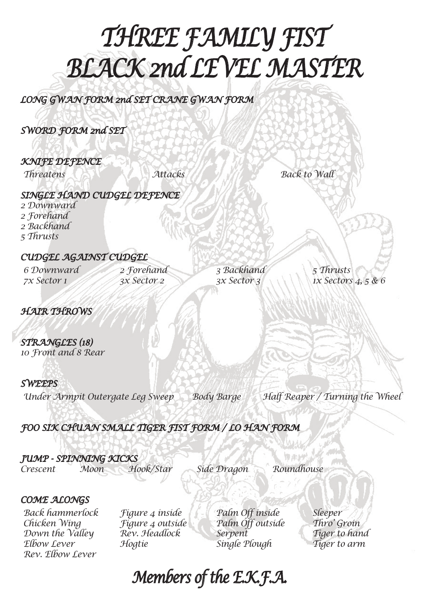# *THREE FAMILY FIST BLACK 2nd LEVEL MASTER*

*LONG GWAN FORM 2nd SET CRANE GWAN FORM*

*SWORD FORM 2nd SET*

*KNIFE DEFENCE*

*Threatens Attacks Back to Wall*

### *SINGLE HAND CUDGEL DEFENCE*

*2 Downward 2 Forehand 2 Backhand 5 Thrusts*

### *CUDGEL AGAINST CUDGEL*

*6 Downward 7x Sector 1*

*2 Forehand 3x Sector 2*

*3 Backhand 3x Sector 3*

*5 Thrusts 1x Sectors 4, 5 & 6*

*HAIR THROWS*

*STRANGLES (18) 10 Front and 8 Rear*

### *SWEEPS*

*Under Armpit Outergate Leg Sweep Body Barge Half Reaper / Turning the Wheel*

*FOO SIK CHUAN SMALL TIGER FIST FORM / LO HAN FORM*

### *JUMP - SPINNING KICKS*

*Crescent Moon Hook/Star Side Dragon Roundhouse*

### *COME ALONGS*

*Back hammerlock Chicken Wing Down the Valley Elbow Lever Rev. Elbow Lever*

*Figure 4 inside Figure 4 outside Rev. Headlock Hogtie*

*Palm Off inside Palm Off outside Serpent Single Plough*

*Sleeper Thro' Groin Tiger to hand Tiger to arm*

### *Members of the E.K.F.A.*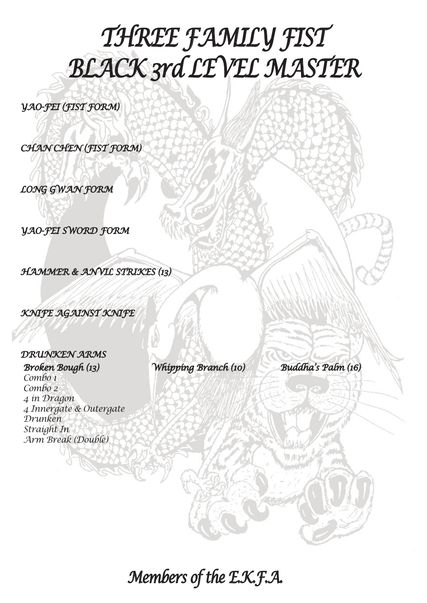## *THREE FAMILY FIST BLACK 3rd LEVEL MASTER*

*YAO-FEI (FIST FORM)*

*CHAN CHEN (FIST FORM)*

*LONG GWAN FORM*

*YAO-FEI SWORD FORM*

*HAMMER & ANVIL STRIKES (13)*

*KNIFE AGAINST KNIFE*

#### *DRUNKEN ARMS*

*Broken Bough (13) Combo 1 Combo 2 4 in Dragon 4 Innergate & Outergate Drunken Straight In Arm Break (Double)*

*Whipping Branch (10) Buddha's Palm (16)*

*Members of the E.K.F.A.*